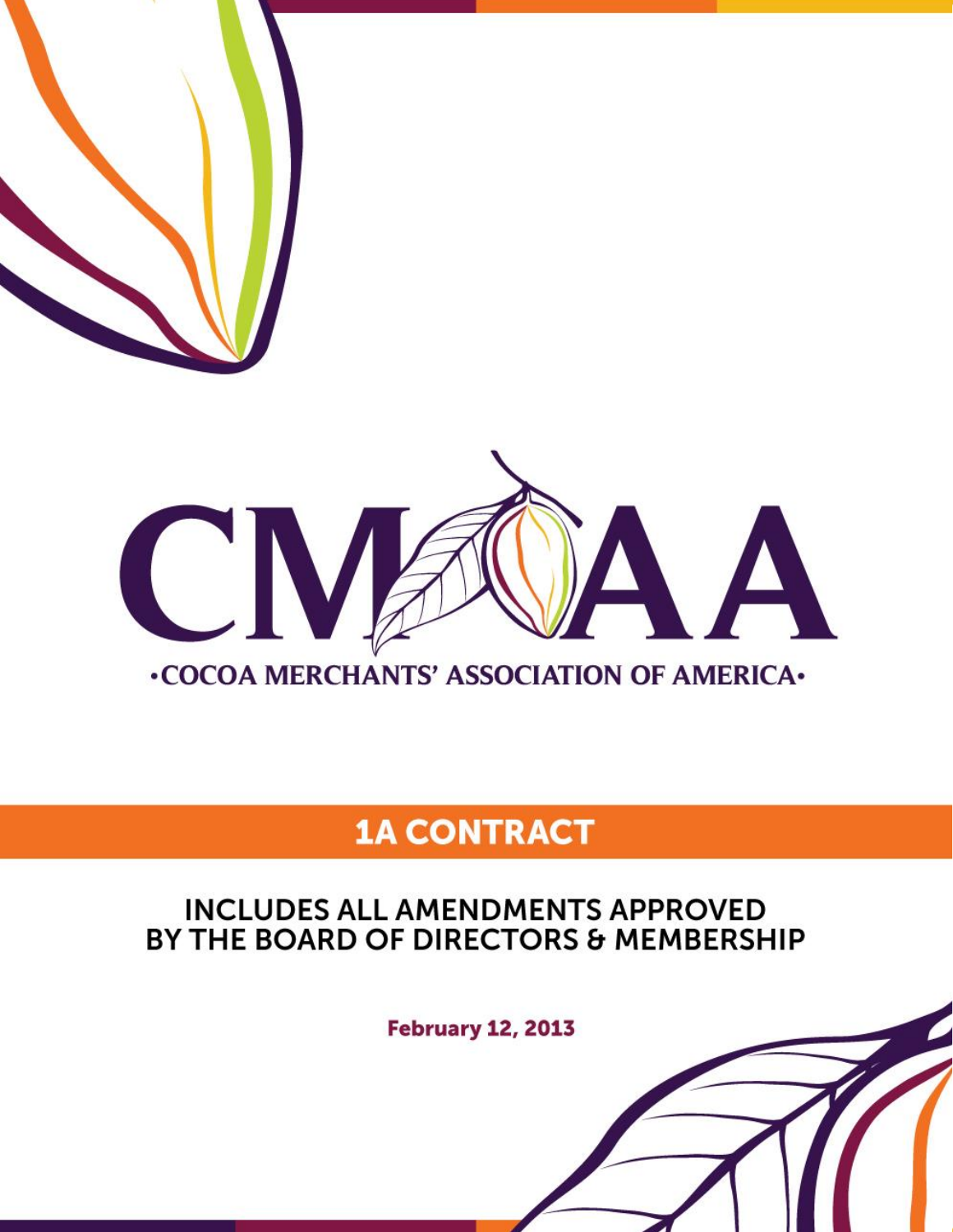

# **1A CONTRACT**

# **INCLUDES ALL AMENDMENTS APPROVED** BY THE BOARD OF DIRECTORS & MEMBERSHIP

**February 12, 2013**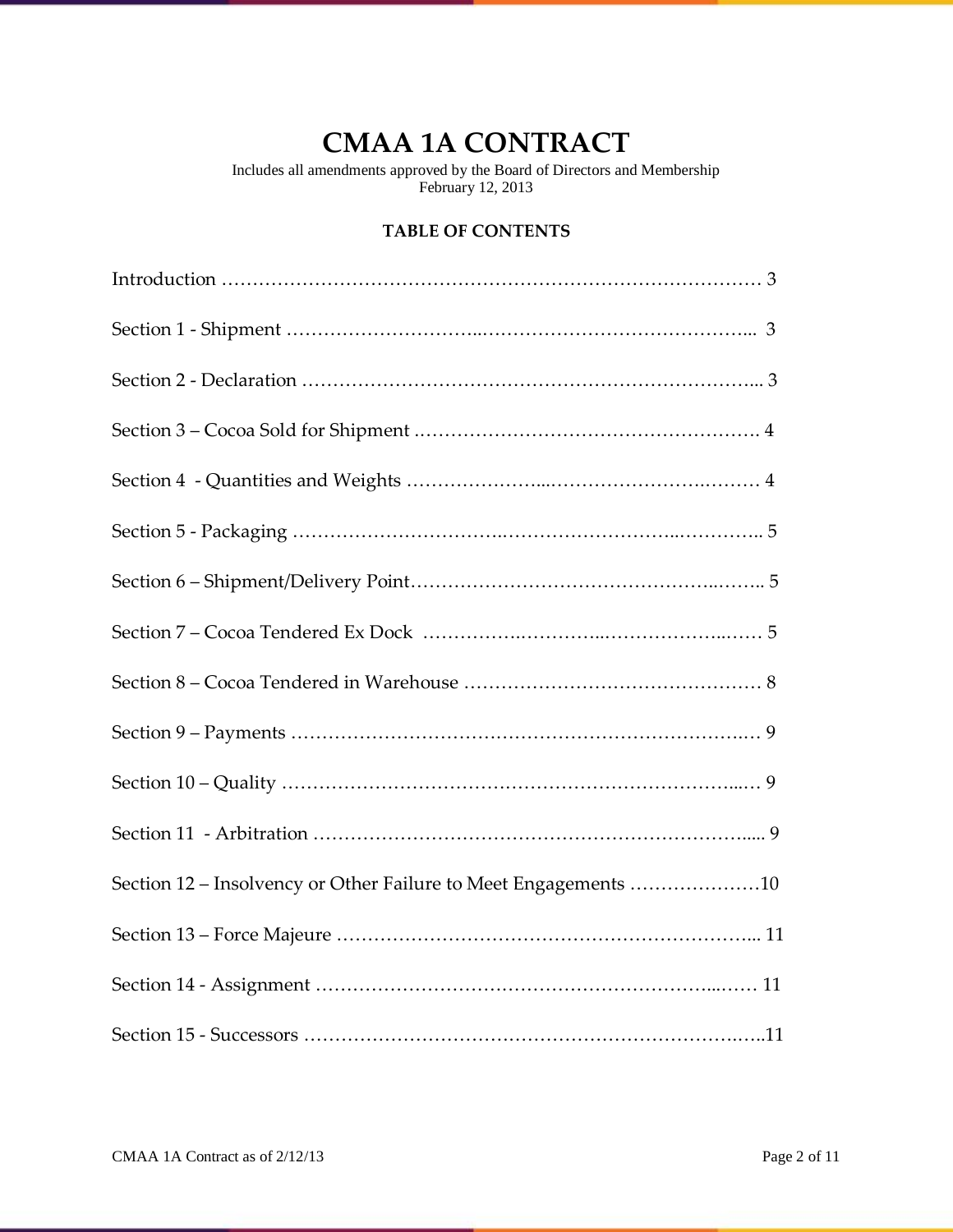# **CMAA 1A CONTRACT**

Includes all amendments approved by the Board of Directors and Membership February 12, 2013

# **TABLE OF CONTENTS**

| Section 12 – Insolvency or Other Failure to Meet Engagements 10 |
|-----------------------------------------------------------------|
|                                                                 |
|                                                                 |
|                                                                 |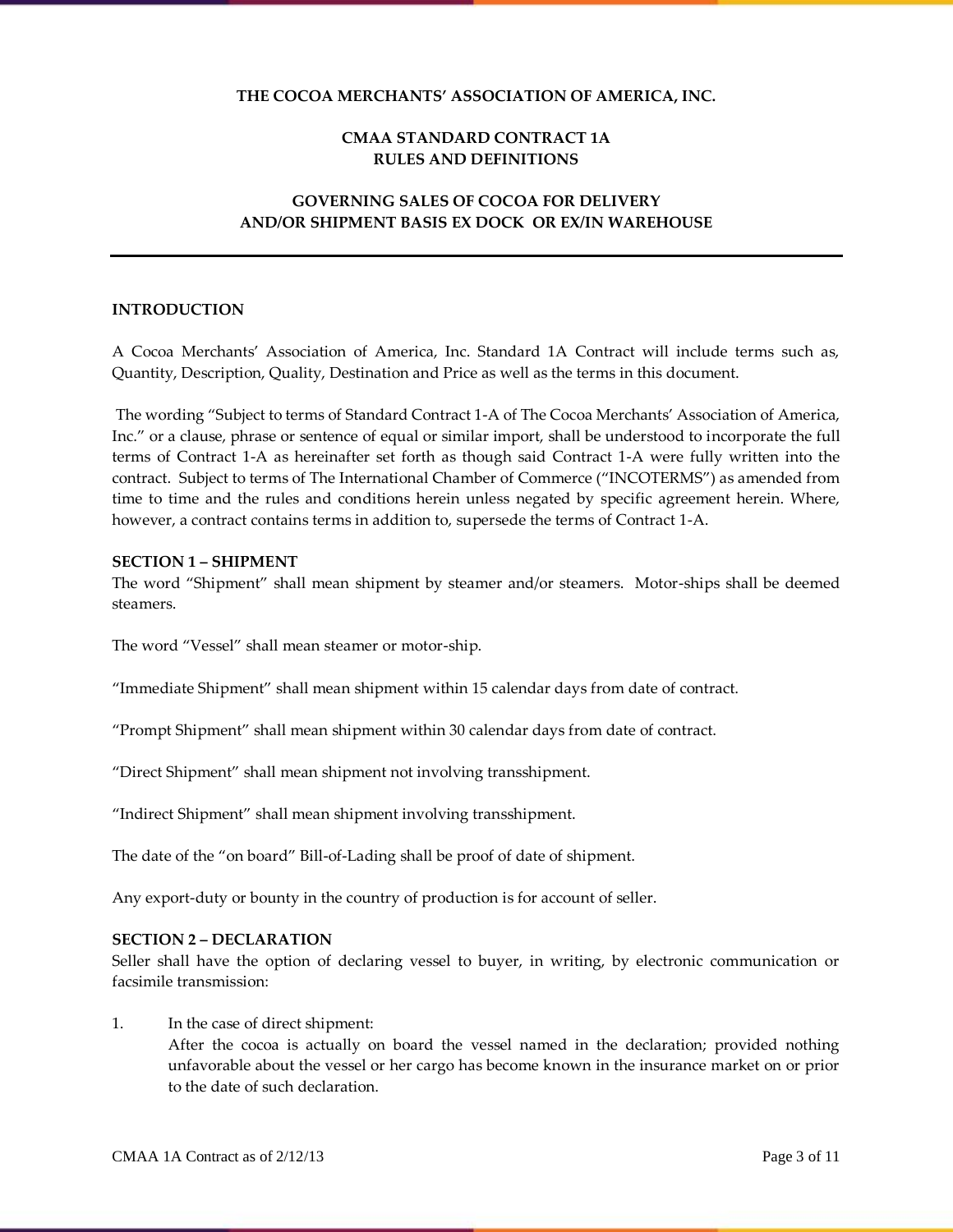# **THE COCOA MERCHANTS' ASSOCIATION OF AMERICA, INC.**

# **CMAA STANDARD CONTRACT 1A RULES AND DEFINITIONS**

# **GOVERNING SALES OF COCOA FOR DELIVERY AND/OR SHIPMENT BASIS EX DOCK OR EX/IN WAREHOUSE**

#### **INTRODUCTION**

A Cocoa Merchants' Association of America, Inc. Standard 1A Contract will include terms such as, Quantity, Description, Quality, Destination and Price as well as the terms in this document.

The wording "Subject to terms of Standard Contract 1-A of The Cocoa Merchants' Association of America, Inc." or a clause, phrase or sentence of equal or similar import, shall be understood to incorporate the full terms of Contract 1-A as hereinafter set forth as though said Contract 1-A were fully written into the contract. Subject to terms of The International Chamber of Commerce ("INCOTERMS") as amended from time to time and the rules and conditions herein unless negated by specific agreement herein. Where, however, a contract contains terms in addition to, supersede the terms of Contract 1-A.

#### **SECTION 1 – SHIPMENT**

The word "Shipment" shall mean shipment by steamer and/or steamers. Motor-ships shall be deemed steamers.

The word "Vessel" shall mean steamer or motor-ship.

"Immediate Shipment" shall mean shipment within 15 calendar days from date of contract.

"Prompt Shipment" shall mean shipment within 30 calendar days from date of contract.

"Direct Shipment" shall mean shipment not involving transshipment.

"Indirect Shipment" shall mean shipment involving transshipment.

The date of the "on board" Bill-of-Lading shall be proof of date of shipment.

Any export-duty or bounty in the country of production is for account of seller.

#### **SECTION 2 – DECLARATION**

Seller shall have the option of declaring vessel to buyer, in writing, by electronic communication or facsimile transmission:

#### 1. In the case of direct shipment:

After the cocoa is actually on board the vessel named in the declaration; provided nothing unfavorable about the vessel or her cargo has become known in the insurance market on or prior to the date of such declaration.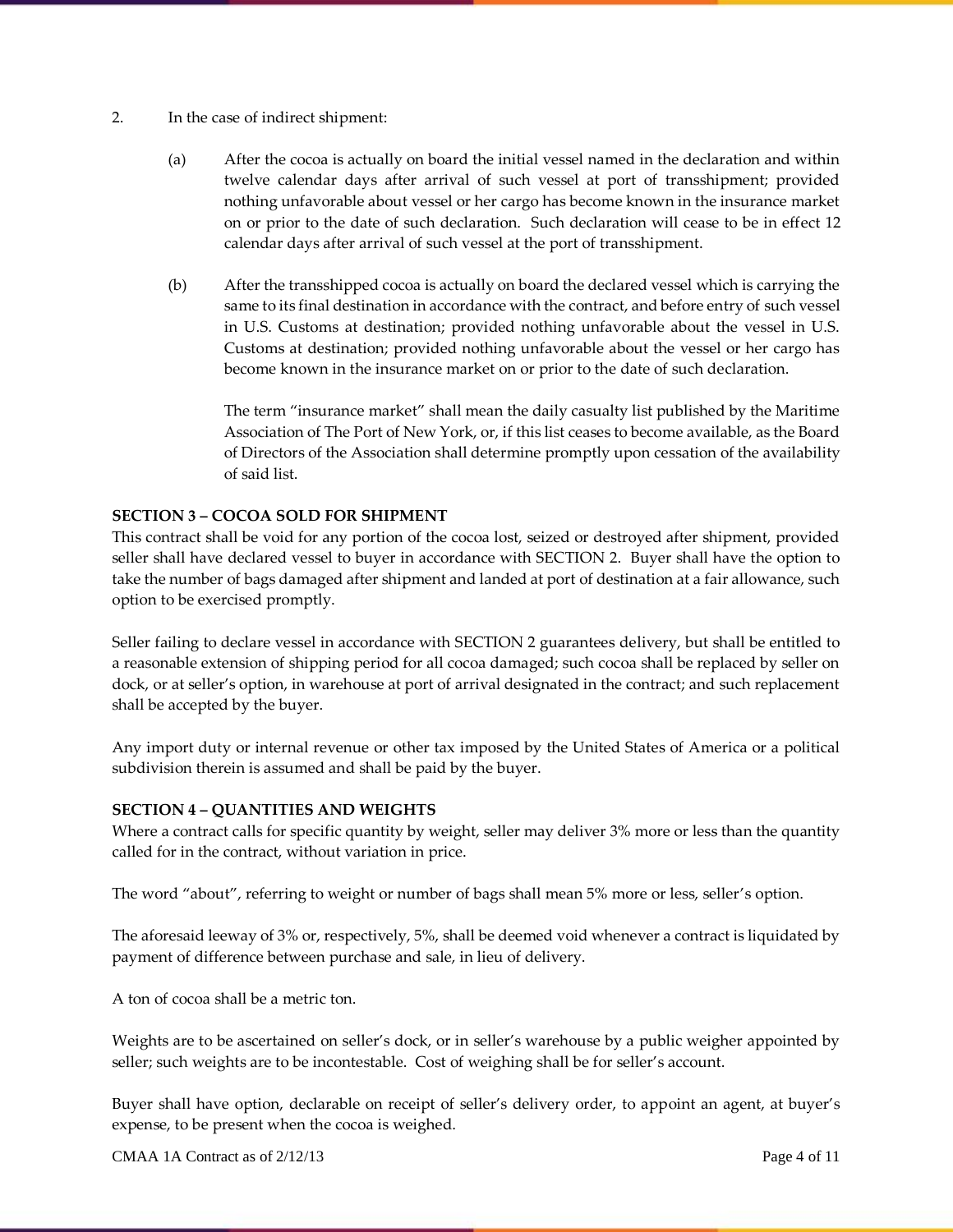- 2. In the case of indirect shipment:
	- (a) After the cocoa is actually on board the initial vessel named in the declaration and within twelve calendar days after arrival of such vessel at port of transshipment; provided nothing unfavorable about vessel or her cargo has become known in the insurance market on or prior to the date of such declaration. Such declaration will cease to be in effect 12 calendar days after arrival of such vessel at the port of transshipment.
	- (b) After the transshipped cocoa is actually on board the declared vessel which is carrying the same to its final destination in accordance with the contract, and before entry of such vessel in U.S. Customs at destination; provided nothing unfavorable about the vessel in U.S. Customs at destination; provided nothing unfavorable about the vessel or her cargo has become known in the insurance market on or prior to the date of such declaration.

The term "insurance market" shall mean the daily casualty list published by the Maritime Association of The Port of New York, or, if this list ceases to become available, as the Board of Directors of the Association shall determine promptly upon cessation of the availability of said list.

# **SECTION 3 – COCOA SOLD FOR SHIPMENT**

This contract shall be void for any portion of the cocoa lost, seized or destroyed after shipment, provided seller shall have declared vessel to buyer in accordance with SECTION 2. Buyer shall have the option to take the number of bags damaged after shipment and landed at port of destination at a fair allowance, such option to be exercised promptly.

Seller failing to declare vessel in accordance with SECTION 2 guarantees delivery, but shall be entitled to a reasonable extension of shipping period for all cocoa damaged; such cocoa shall be replaced by seller on dock, or at seller's option, in warehouse at port of arrival designated in the contract; and such replacement shall be accepted by the buyer.

Any import duty or internal revenue or other tax imposed by the United States of America or a political subdivision therein is assumed and shall be paid by the buyer.

# **SECTION 4 – QUANTITIES AND WEIGHTS**

Where a contract calls for specific quantity by weight, seller may deliver 3% more or less than the quantity called for in the contract, without variation in price.

The word "about", referring to weight or number of bags shall mean 5% more or less, seller's option.

The aforesaid leeway of 3% or, respectively, 5%, shall be deemed void whenever a contract is liquidated by payment of difference between purchase and sale, in lieu of delivery.

A ton of cocoa shall be a metric ton.

Weights are to be ascertained on seller's dock, or in seller's warehouse by a public weigher appointed by seller; such weights are to be incontestable. Cost of weighing shall be for seller's account.

Buyer shall have option, declarable on receipt of seller's delivery order, to appoint an agent, at buyer's expense, to be present when the cocoa is weighed.

CMAA 1A Contract as of  $2/12/13$  Page 4 of 11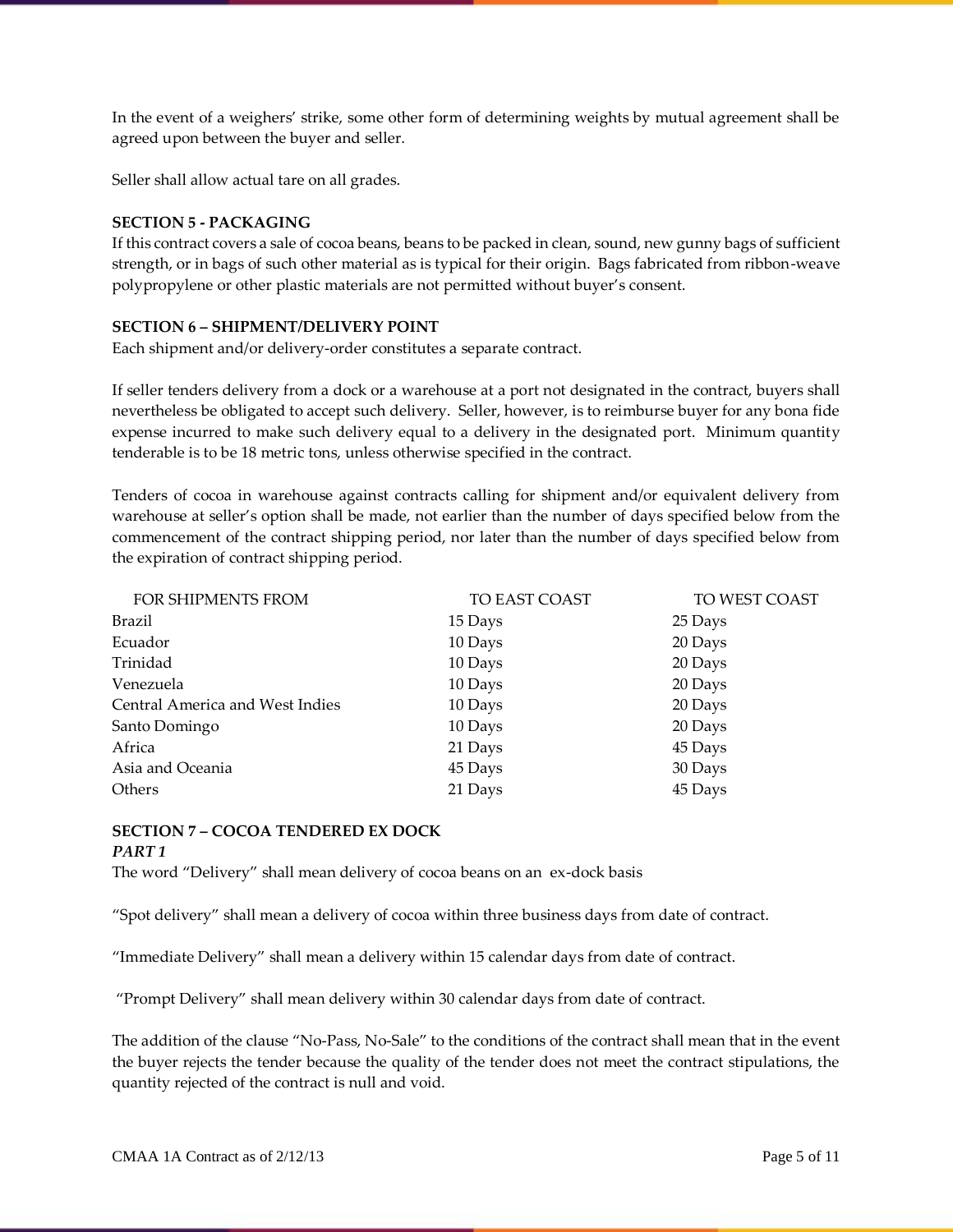In the event of a weighers' strike, some other form of determining weights by mutual agreement shall be agreed upon between the buyer and seller.

Seller shall allow actual tare on all grades.

# **SECTION 5 - PACKAGING**

If this contract covers a sale of cocoa beans, beans to be packed in clean, sound, new gunny bags of sufficient strength, or in bags of such other material as is typical for their origin. Bags fabricated from ribbon-weave polypropylene or other plastic materials are not permitted without buyer's consent.

# **SECTION 6 – SHIPMENT/DELIVERY POINT**

Each shipment and/or delivery-order constitutes a separate contract.

If seller tenders delivery from a dock or a warehouse at a port not designated in the contract, buyers shall nevertheless be obligated to accept such delivery. Seller, however, is to reimburse buyer for any bona fide expense incurred to make such delivery equal to a delivery in the designated port. Minimum quantity tenderable is to be 18 metric tons, unless otherwise specified in the contract.

Tenders of cocoa in warehouse against contracts calling for shipment and/or equivalent delivery from warehouse at seller's option shall be made, not earlier than the number of days specified below from the commencement of the contract shipping period, nor later than the number of days specified below from the expiration of contract shipping period.

| FOR SHIPMENTS FROM              | TO EAST COAST | TO WEST COAST |
|---------------------------------|---------------|---------------|
| Brazil                          | 15 Days       | 25 Days       |
| Ecuador                         | 10 Days       | 20 Days       |
| Trinidad                        | 10 Days       | 20 Days       |
| Venezuela                       | 10 Days       | 20 Days       |
| Central America and West Indies | 10 Days       | 20 Days       |
| Santo Domingo                   | 10 Days       | 20 Days       |
| Africa                          | 21 Days       | 45 Days       |
| Asia and Oceania                | 45 Days       | 30 Days       |
| <b>Others</b>                   | 21 Days       | 45 Days       |

#### **SECTION 7 – COCOA TENDERED EX DOCK** *PART 1*

The word "Delivery" shall mean delivery of cocoa beans on an ex-dock basis

"Spot delivery" shall mean a delivery of cocoa within three business days from date of contract.

"Immediate Delivery" shall mean a delivery within 15 calendar days from date of contract.

"Prompt Delivery" shall mean delivery within 30 calendar days from date of contract.

The addition of the clause "No-Pass, No-Sale" to the conditions of the contract shall mean that in the event the buyer rejects the tender because the quality of the tender does not meet the contract stipulations, the quantity rejected of the contract is null and void.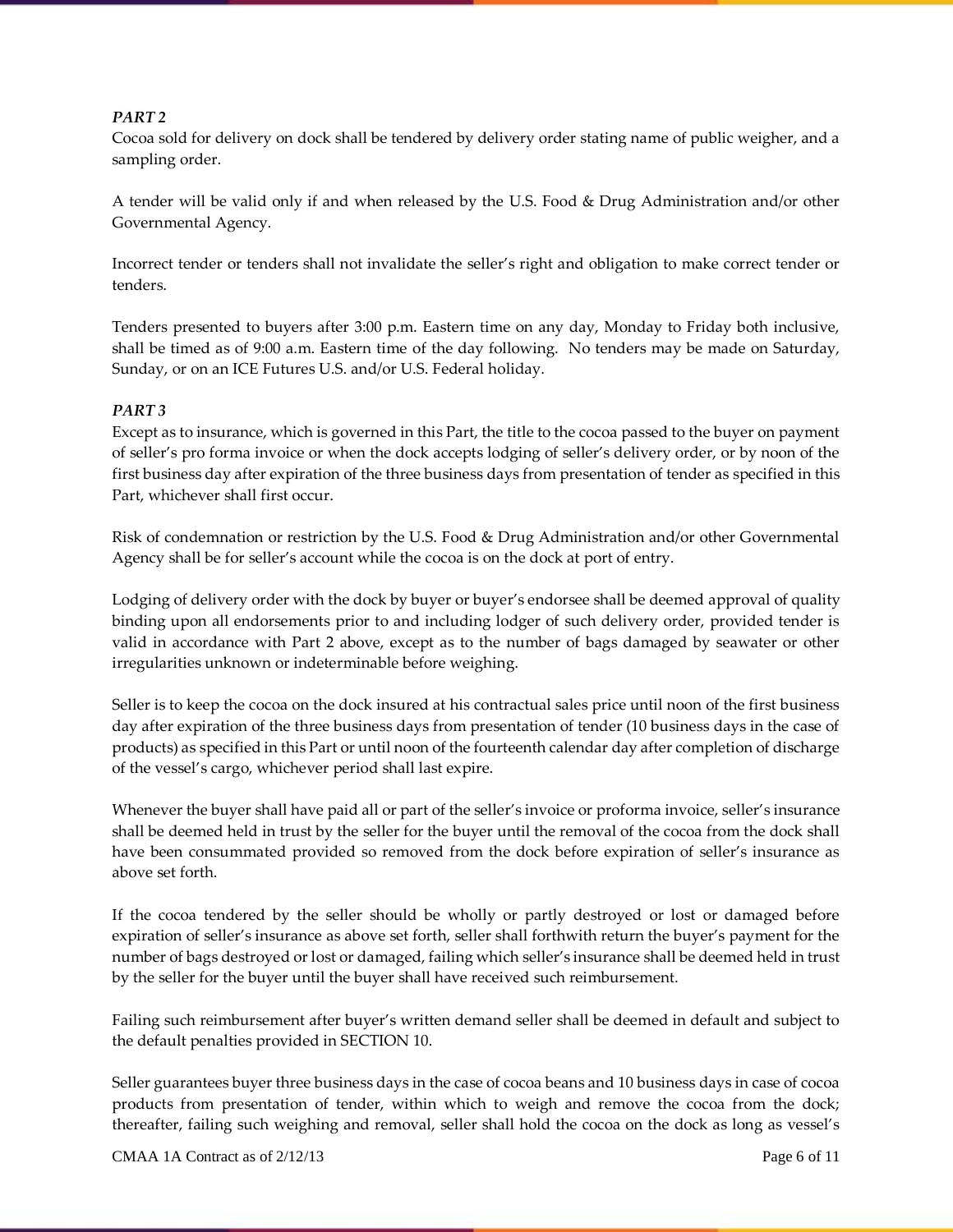# *PART 2*

Cocoa sold for delivery on dock shall be tendered by delivery order stating name of public weigher, and a sampling order.

A tender will be valid only if and when released by the U.S. Food & Drug Administration and/or other Governmental Agency.

Incorrect tender or tenders shall not invalidate the seller's right and obligation to make correct tender or tenders.

Tenders presented to buyers after 3:00 p.m. Eastern time on any day, Monday to Friday both inclusive, shall be timed as of 9:00 a.m. Eastern time of the day following. No tenders may be made on Saturday, Sunday, or on an ICE Futures U.S. and/or U.S. Federal holiday.

#### *PART 3*

Except as to insurance, which is governed in this Part, the title to the cocoa passed to the buyer on payment of seller's pro forma invoice or when the dock accepts lodging of seller's delivery order, or by noon of the first business day after expiration of the three business days from presentation of tender as specified in this Part, whichever shall first occur.

Risk of condemnation or restriction by the U.S. Food & Drug Administration and/or other Governmental Agency shall be for seller's account while the cocoa is on the dock at port of entry.

Lodging of delivery order with the dock by buyer or buyer's endorsee shall be deemed approval of quality binding upon all endorsements prior to and including lodger of such delivery order, provided tender is valid in accordance with Part 2 above, except as to the number of bags damaged by seawater or other irregularities unknown or indeterminable before weighing.

Seller is to keep the cocoa on the dock insured at his contractual sales price until noon of the first business day after expiration of the three business days from presentation of tender (10 business days in the case of products) as specified in this Part or until noon of the fourteenth calendar day after completion of discharge of the vessel's cargo, whichever period shall last expire.

Whenever the buyer shall have paid all or part of the seller's invoice or proforma invoice, seller's insurance shall be deemed held in trust by the seller for the buyer until the removal of the cocoa from the dock shall have been consummated provided so removed from the dock before expiration of seller's insurance as above set forth.

If the cocoa tendered by the seller should be wholly or partly destroyed or lost or damaged before expiration of seller's insurance as above set forth, seller shall forthwith return the buyer's payment for the number of bags destroyed or lost or damaged, failing which seller's insurance shall be deemed held in trust by the seller for the buyer until the buyer shall have received such reimbursement.

Failing such reimbursement after buyer's written demand seller shall be deemed in default and subject to the default penalties provided in SECTION 10.

Seller guarantees buyer three business days in the case of cocoa beans and 10 business days in case of cocoa products from presentation of tender, within which to weigh and remove the cocoa from the dock; thereafter, failing such weighing and removal, seller shall hold the cocoa on the dock as long as vessel's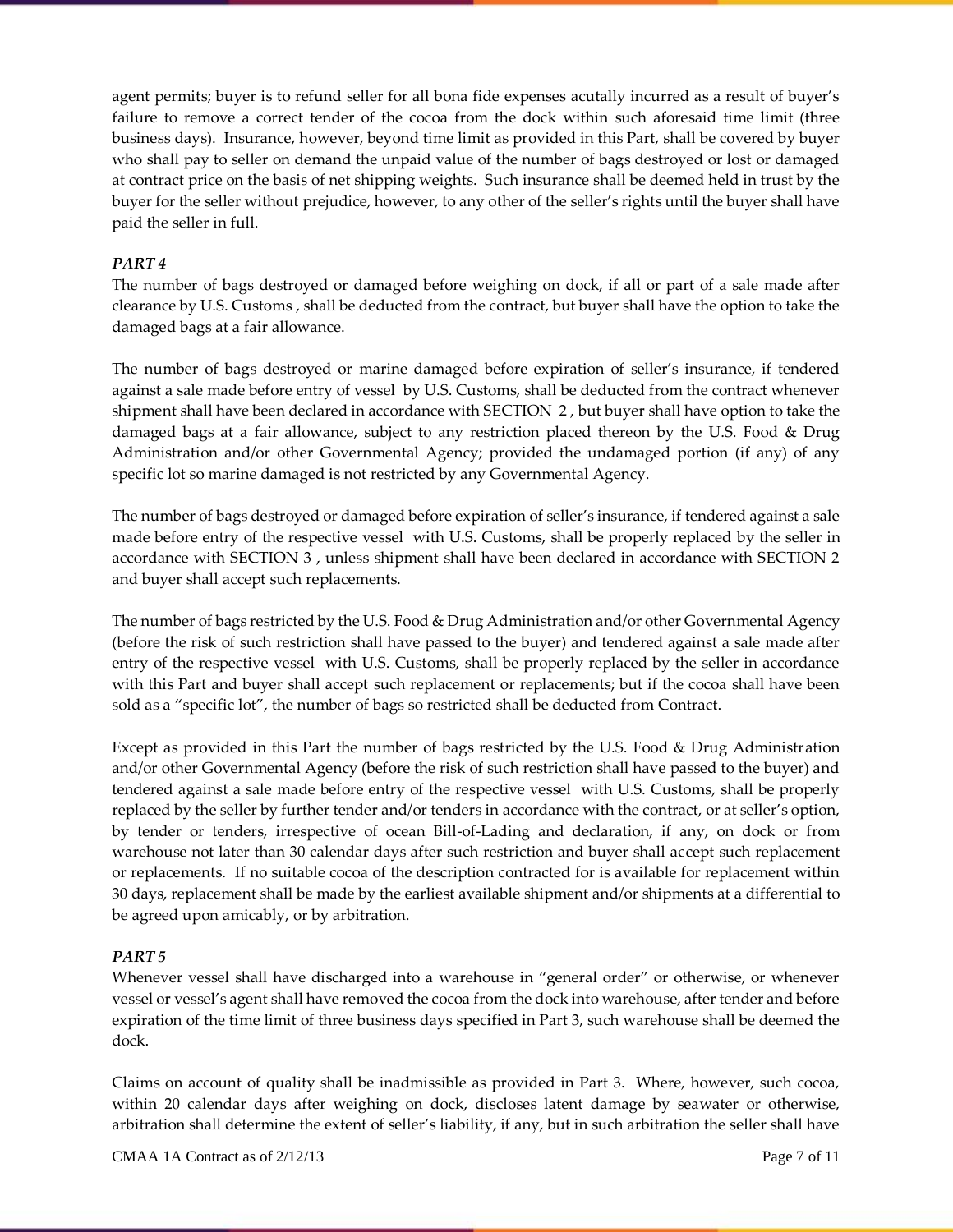agent permits; buyer is to refund seller for all bona fide expenses acutally incurred as a result of buyer's failure to remove a correct tender of the cocoa from the dock within such aforesaid time limit (three business days). Insurance, however, beyond time limit as provided in this Part, shall be covered by buyer who shall pay to seller on demand the unpaid value of the number of bags destroyed or lost or damaged at contract price on the basis of net shipping weights. Such insurance shall be deemed held in trust by the buyer for the seller without prejudice, however, to any other of the seller's rights until the buyer shall have paid the seller in full.

# *PART 4*

The number of bags destroyed or damaged before weighing on dock, if all or part of a sale made after clearance by U.S. Customs , shall be deducted from the contract, but buyer shall have the option to take the damaged bags at a fair allowance.

The number of bags destroyed or marine damaged before expiration of seller's insurance, if tendered against a sale made before entry of vessel by U.S. Customs, shall be deducted from the contract whenever shipment shall have been declared in accordance with SECTION 2 , but buyer shall have option to take the damaged bags at a fair allowance, subject to any restriction placed thereon by the U.S. Food & Drug Administration and/or other Governmental Agency; provided the undamaged portion (if any) of any specific lot so marine damaged is not restricted by any Governmental Agency.

The number of bags destroyed or damaged before expiration of seller's insurance, if tendered against a sale made before entry of the respective vessel with U.S. Customs, shall be properly replaced by the seller in accordance with SECTION 3 , unless shipment shall have been declared in accordance with SECTION 2 and buyer shall accept such replacements.

The number of bags restricted by the U.S. Food & Drug Administration and/or other Governmental Agency (before the risk of such restriction shall have passed to the buyer) and tendered against a sale made after entry of the respective vessel with U.S. Customs, shall be properly replaced by the seller in accordance with this Part and buyer shall accept such replacement or replacements; but if the cocoa shall have been sold as a "specific lot", the number of bags so restricted shall be deducted from Contract.

Except as provided in this Part the number of bags restricted by the U.S. Food & Drug Administration and/or other Governmental Agency (before the risk of such restriction shall have passed to the buyer) and tendered against a sale made before entry of the respective vessel with U.S. Customs, shall be properly replaced by the seller by further tender and/or tenders in accordance with the contract, or at seller's option, by tender or tenders, irrespective of ocean Bill-of-Lading and declaration, if any, on dock or from warehouse not later than 30 calendar days after such restriction and buyer shall accept such replacement or replacements. If no suitable cocoa of the description contracted for is available for replacement within 30 days, replacement shall be made by the earliest available shipment and/or shipments at a differential to be agreed upon amicably, or by arbitration.

# *PART 5*

Whenever vessel shall have discharged into a warehouse in "general order" or otherwise, or whenever vessel or vessel's agent shall have removed the cocoa from the dock into warehouse, after tender and before expiration of the time limit of three business days specified in Part 3, such warehouse shall be deemed the dock.

Claims on account of quality shall be inadmissible as provided in Part 3. Where, however, such cocoa, within 20 calendar days after weighing on dock, discloses latent damage by seawater or otherwise, arbitration shall determine the extent of seller's liability, if any, but in such arbitration the seller shall have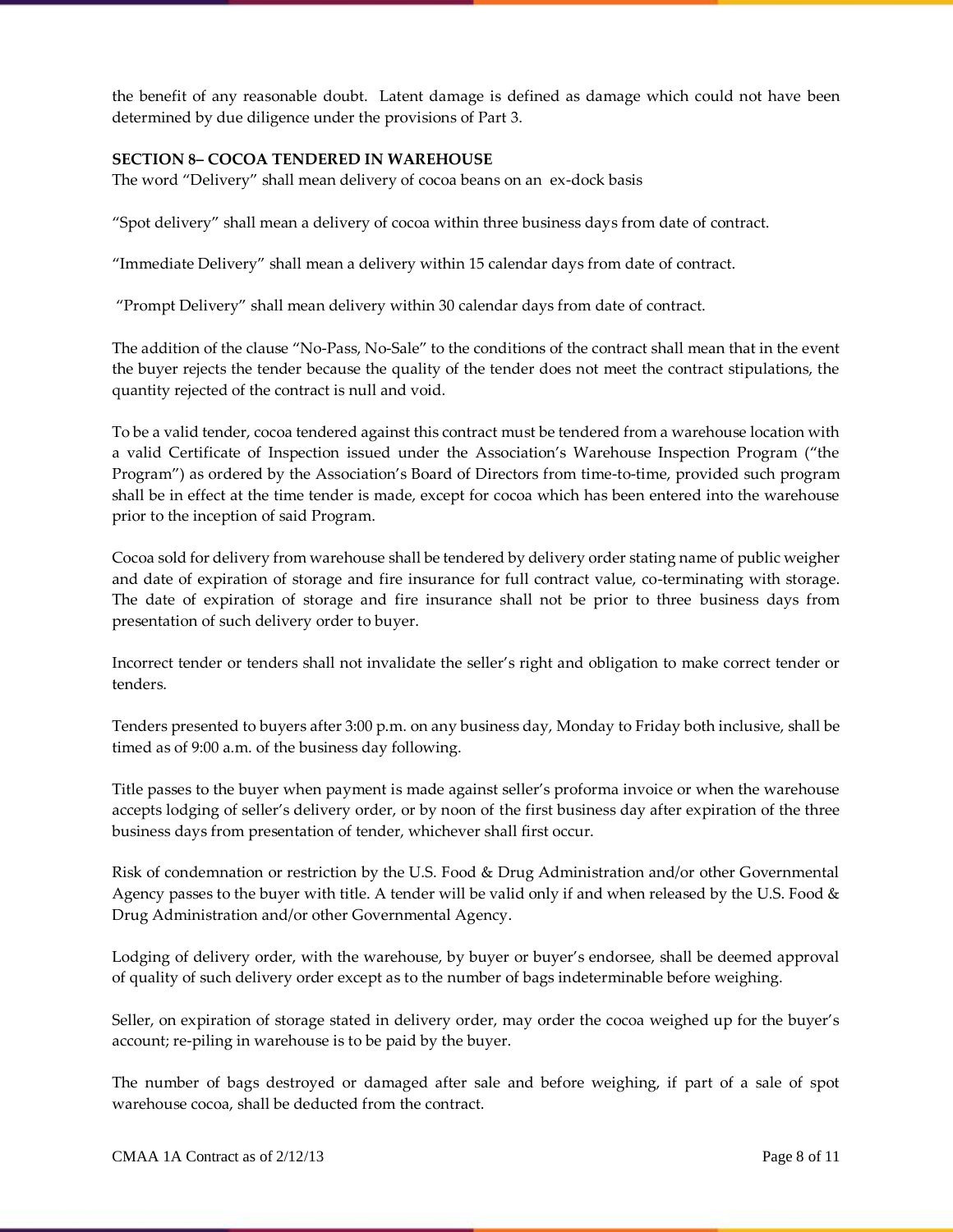the benefit of any reasonable doubt. Latent damage is defined as damage which could not have been determined by due diligence under the provisions of Part 3.

#### **SECTION 8– COCOA TENDERED IN WAREHOUSE**

The word "Delivery" shall mean delivery of cocoa beans on an ex-dock basis

"Spot delivery" shall mean a delivery of cocoa within three business days from date of contract.

"Immediate Delivery" shall mean a delivery within 15 calendar days from date of contract.

"Prompt Delivery" shall mean delivery within 30 calendar days from date of contract.

The addition of the clause "No-Pass, No-Sale" to the conditions of the contract shall mean that in the event the buyer rejects the tender because the quality of the tender does not meet the contract stipulations, the quantity rejected of the contract is null and void.

To be a valid tender, cocoa tendered against this contract must be tendered from a warehouse location with a valid Certificate of Inspection issued under the Association's Warehouse Inspection Program ("the Program") as ordered by the Association's Board of Directors from time-to-time, provided such program shall be in effect at the time tender is made, except for cocoa which has been entered into the warehouse prior to the inception of said Program.

Cocoa sold for delivery from warehouse shall be tendered by delivery order stating name of public weigher and date of expiration of storage and fire insurance for full contract value, co-terminating with storage. The date of expiration of storage and fire insurance shall not be prior to three business days from presentation of such delivery order to buyer.

Incorrect tender or tenders shall not invalidate the seller's right and obligation to make correct tender or tenders.

Tenders presented to buyers after 3:00 p.m. on any business day, Monday to Friday both inclusive, shall be timed as of 9:00 a.m. of the business day following.

Title passes to the buyer when payment is made against seller's proforma invoice or when the warehouse accepts lodging of seller's delivery order, or by noon of the first business day after expiration of the three business days from presentation of tender, whichever shall first occur.

Risk of condemnation or restriction by the U.S. Food & Drug Administration and/or other Governmental Agency passes to the buyer with title. A tender will be valid only if and when released by the U.S. Food & Drug Administration and/or other Governmental Agency.

Lodging of delivery order, with the warehouse, by buyer or buyer's endorsee, shall be deemed approval of quality of such delivery order except as to the number of bags indeterminable before weighing.

Seller, on expiration of storage stated in delivery order, may order the cocoa weighed up for the buyer's account; re-piling in warehouse is to be paid by the buyer.

The number of bags destroyed or damaged after sale and before weighing, if part of a sale of spot warehouse cocoa, shall be deducted from the contract.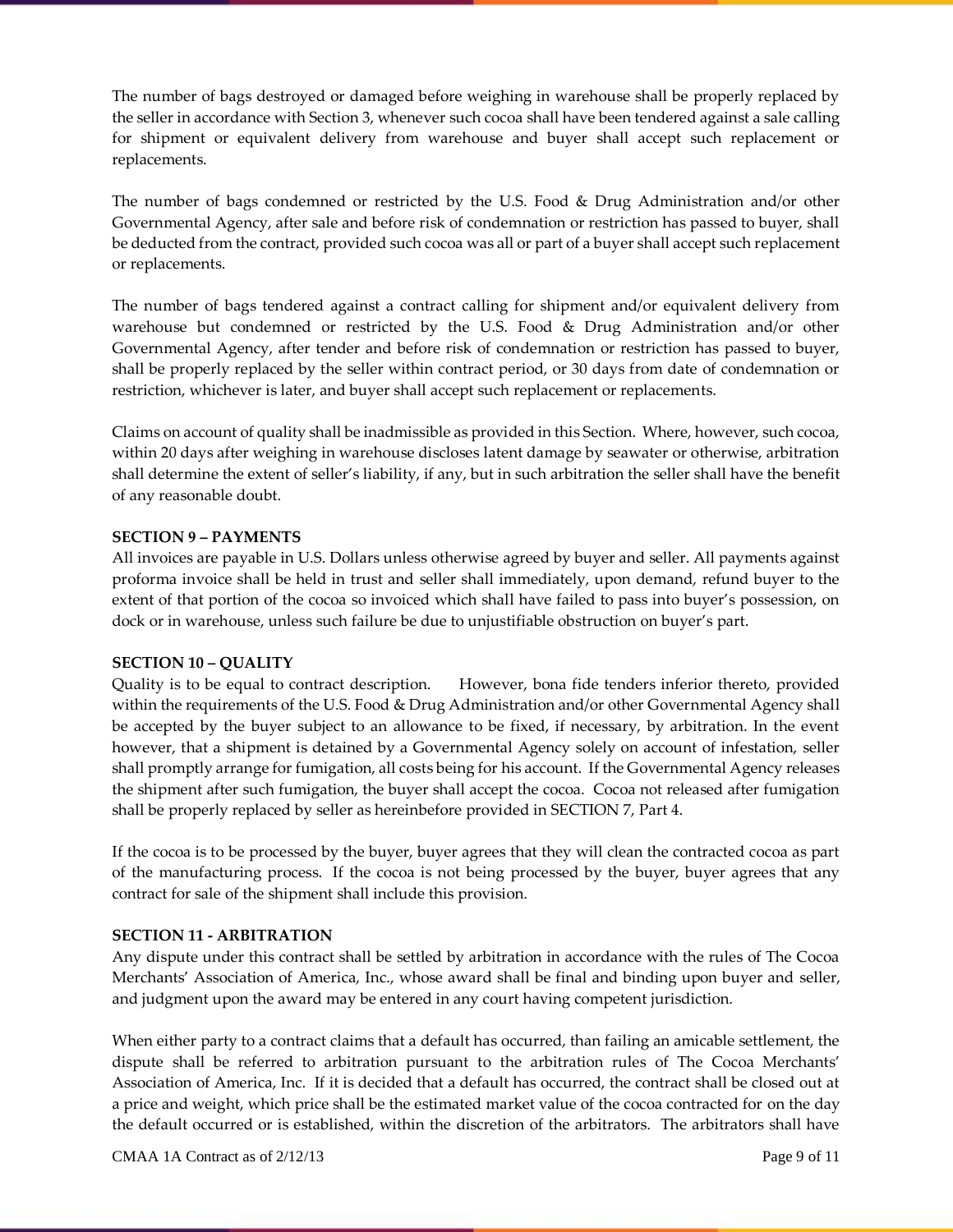The number of bags destroyed or damaged before weighing in warehouse shall be properly replaced by the seller in accordance with Section 3, whenever such cocoa shall have been tendered against a sale calling for shipment or equivalent delivery from warehouse and buyer shall accept such replacement or replacements.

The number of bags condemned or restricted by the U.S. Food & Drug Administration and/or other Governmental Agency, after sale and before risk of condemnation or restriction has passed to buyer, shall be deducted from the contract, provided such cocoa was all or part of a buyer shall accept such replacement or replacements.

The number of bags tendered against a contract calling for shipment and/or equivalent delivery from warehouse but condemned or restricted by the U.S. Food & Drug Administration and/or other Governmental Agency, after tender and before risk of condemnation or restriction has passed to buyer, shall be properly replaced by the seller within contract period, or 30 days from date of condemnation or restriction, whichever is later, and buyer shall accept such replacement or replacements.

Claims on account of quality shall be inadmissible as provided in this Section. Where, however, such cocoa, within 20 days after weighing in warehouse discloses latent damage by seawater or otherwise, arbitration shall determine the extent of seller's liability, if any, but in such arbitration the seller shall have the benefit of any reasonable doubt.

#### **SECTION 9 – PAYMENTS**

All invoices are payable in U.S. Dollars unless otherwise agreed by buyer and seller. All payments against proforma invoice shall be held in trust and seller shall immediately, upon demand, refund buyer to the extent of that portion of the cocoa so invoiced which shall have failed to pass into buyer's possession, on dock or in warehouse, unless such failure be due to unjustifiable obstruction on buyer's part.

#### **SECTION 10 – QUALITY**

Quality is to be equal to contract description. However, bona fide tenders inferior thereto, provided within the requirements of the U.S. Food & Drug Administration and/or other Governmental Agency shall be accepted by the buyer subject to an allowance to be fixed, if necessary, by arbitration. In the event however, that a shipment is detained by a Governmental Agency solely on account of infestation, seller shall promptly arrange for fumigation, all costs being for his account. If the Governmental Agency releases the shipment after such fumigation, the buyer shall accept the cocoa. Cocoa not released after fumigation shall be properly replaced by seller as hereinbefore provided in SECTION 7, Part 4.

If the cocoa is to be processed by the buyer, buyer agrees that they will clean the contracted cocoa as part of the manufacturing process. If the cocoa is not being processed by the buyer, buyer agrees that any contract for sale of the shipment shall include this provision.

#### **SECTION 11 - ARBITRATION**

Any dispute under this contract shall be settled by arbitration in accordance with the rules of The Cocoa Merchants' Association of America, Inc., whose award shall be final and binding upon buyer and seller, and judgment upon the award may be entered in any court having competent jurisdiction.

When either party to a contract claims that a default has occurred, than failing an amicable settlement, the dispute shall be referred to arbitration pursuant to the arbitration rules of The Cocoa Merchants' Association of America, Inc. If it is decided that a default has occurred, the contract shall be closed out at a price and weight, which price shall be the estimated market value of the cocoa contracted for on the day the default occurred or is established, within the discretion of the arbitrators. The arbitrators shall have

CMAA 1A Contract as of  $2/12/13$  Page 9 of 11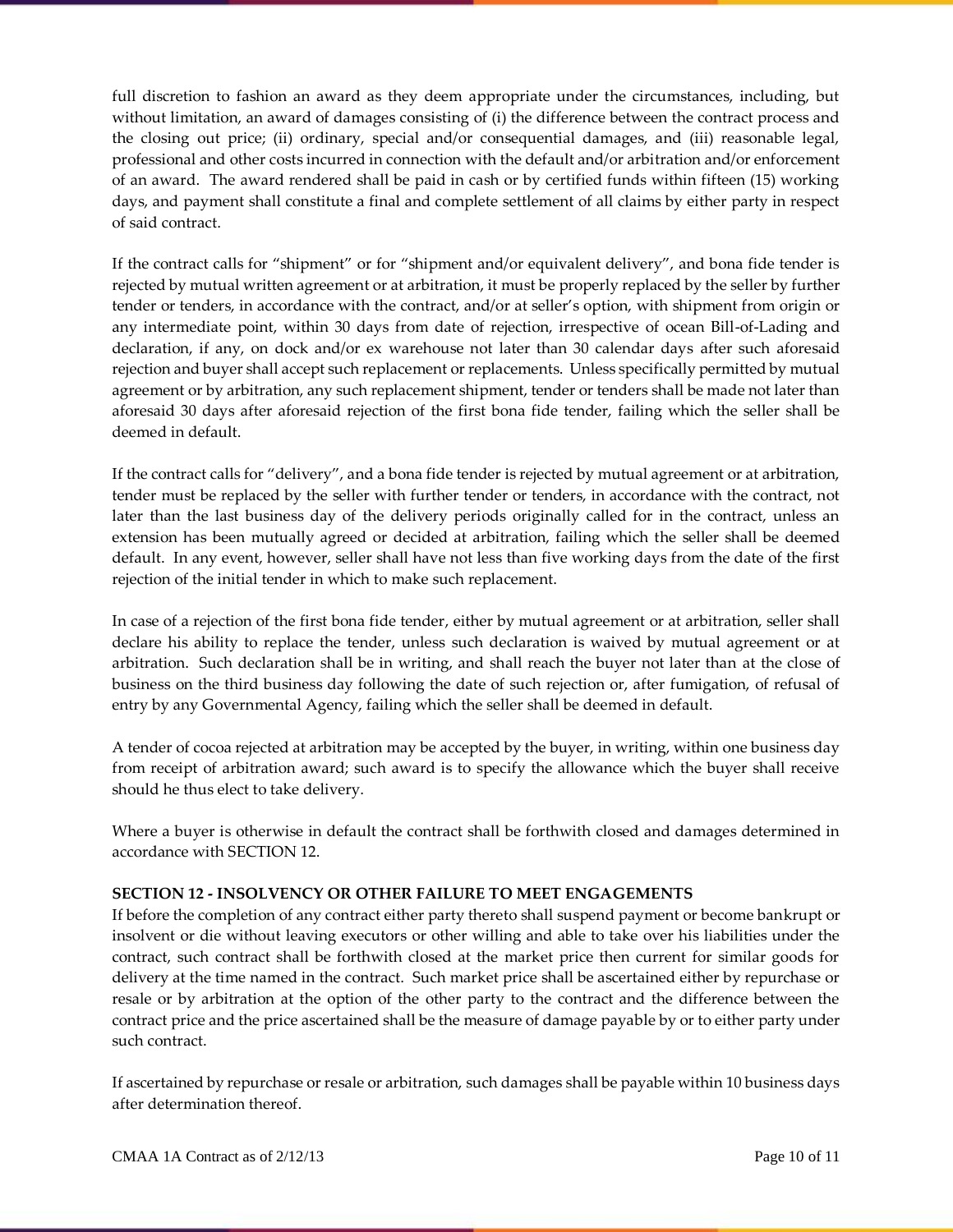full discretion to fashion an award as they deem appropriate under the circumstances, including, but without limitation, an award of damages consisting of (i) the difference between the contract process and the closing out price; (ii) ordinary, special and/or consequential damages, and (iii) reasonable legal, professional and other costs incurred in connection with the default and/or arbitration and/or enforcement of an award. The award rendered shall be paid in cash or by certified funds within fifteen (15) working days, and payment shall constitute a final and complete settlement of all claims by either party in respect of said contract.

If the contract calls for "shipment" or for "shipment and/or equivalent delivery", and bona fide tender is rejected by mutual written agreement or at arbitration, it must be properly replaced by the seller by further tender or tenders, in accordance with the contract, and/or at seller's option, with shipment from origin or any intermediate point, within 30 days from date of rejection, irrespective of ocean Bill-of-Lading and declaration, if any, on dock and/or ex warehouse not later than 30 calendar days after such aforesaid rejection and buyer shall accept such replacement or replacements. Unless specifically permitted by mutual agreement or by arbitration, any such replacement shipment, tender or tenders shall be made not later than aforesaid 30 days after aforesaid rejection of the first bona fide tender, failing which the seller shall be deemed in default.

If the contract calls for "delivery", and a bona fide tender is rejected by mutual agreement or at arbitration, tender must be replaced by the seller with further tender or tenders, in accordance with the contract, not later than the last business day of the delivery periods originally called for in the contract, unless an extension has been mutually agreed or decided at arbitration, failing which the seller shall be deemed default. In any event, however, seller shall have not less than five working days from the date of the first rejection of the initial tender in which to make such replacement.

In case of a rejection of the first bona fide tender, either by mutual agreement or at arbitration, seller shall declare his ability to replace the tender, unless such declaration is waived by mutual agreement or at arbitration. Such declaration shall be in writing, and shall reach the buyer not later than at the close of business on the third business day following the date of such rejection or, after fumigation, of refusal of entry by any Governmental Agency, failing which the seller shall be deemed in default.

A tender of cocoa rejected at arbitration may be accepted by the buyer, in writing, within one business day from receipt of arbitration award; such award is to specify the allowance which the buyer shall receive should he thus elect to take delivery.

Where a buyer is otherwise in default the contract shall be forthwith closed and damages determined in accordance with SECTION 12.

# **SECTION 12 - INSOLVENCY OR OTHER FAILURE TO MEET ENGAGEMENTS**

If before the completion of any contract either party thereto shall suspend payment or become bankrupt or insolvent or die without leaving executors or other willing and able to take over his liabilities under the contract, such contract shall be forthwith closed at the market price then current for similar goods for delivery at the time named in the contract. Such market price shall be ascertained either by repurchase or resale or by arbitration at the option of the other party to the contract and the difference between the contract price and the price ascertained shall be the measure of damage payable by or to either party under such contract.

If ascertained by repurchase or resale or arbitration, such damages shall be payable within 10 business days after determination thereof.